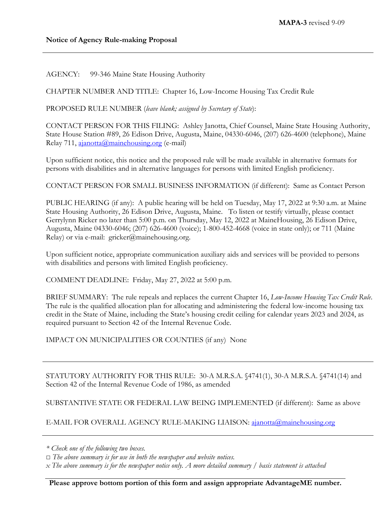AGENCY: 99-346 Maine State Housing Authority

CHAPTER NUMBER AND TITLE: Chapter 16, Low-Income Housing Tax Credit Rule

PROPOSED RULE NUMBER (*leave blank; assigned by Secretary of State*):

CONTACT PERSON FOR THIS FILING: Ashley Janotta, Chief Counsel, Maine State Housing Authority, State House Station #89, 26 Edison Drive, Augusta, Maine, 04330-6046, (207) 626-4600 (telephone), Maine Relay 711, [ajanotta@mainehousing.org](mailto:ajanotta@mainehousing.org) (e-mail)

Upon sufficient notice, this notice and the proposed rule will be made available in alternative formats for persons with disabilities and in alternative languages for persons with limited English proficiency.

CONTACT PERSON FOR SMALL BUSINESS INFORMATION (if different): Same as Contact Person

PUBLIC HEARING (if any): A public hearing will be held on Tuesday, May 17, 2022 at 9:30 a.m. at Maine State Housing Authority, 26 Edison Drive, Augusta, Maine. To listen or testify virtually, please contact Gerrylynn Ricker no later than 5:00 p.m. on Thursday, May 12, 2022 at MaineHousing, 26 Edison Drive, Augusta, Maine 04330-6046; (207) 626-4600 (voice); 1-800-452-4668 (voice in state only); or 711 (Maine Relay) or via e-mail: gricker@mainehousing.org.

Upon sufficient notice, appropriate communication auxiliary aids and services will be provided to persons with disabilities and persons with limited English proficiency.

COMMENT DEADLINE: Friday, May 27, 2022 at 5:00 p.m.

BRIEF SUMMARY: The rule repeals and replaces the current Chapter 16, *Low-Income Housing Tax Credit Rule*. The rule is the qualified allocation plan for allocating and administering the federal low-income housing tax credit in the State of Maine, including the State's housing credit ceiling for calendar years 2023 and 2024, as required pursuant to Section 42 of the Internal Revenue Code.

IMPACT ON MUNICIPALITIES OR COUNTIES (if any) None

STATUTORY AUTHORITY FOR THIS RULE: 30-A M.R.S.A. §4741(1), 30-A M.R.S.A. §4741(14) and Section 42 of the Internal Revenue Code of 1986, as amended

SUBSTANTIVE STATE OR FEDERAL LAW BEING IMPLEMENTED (if different): Same as above

E-MAIL FOR OVERALL AGENCY RULE-MAKING LIAISON: [ajanotta@mainehousing.org](mailto:ajanotta@mainehousing.org)

*<sup>\*</sup> Check one of the following two boxes.*

*<sup>□</sup> The above summary is for use in both the newspaper and website notices.*

*x The above summary is for the newspaper notice only. A more detailed summary / basis statement is attached*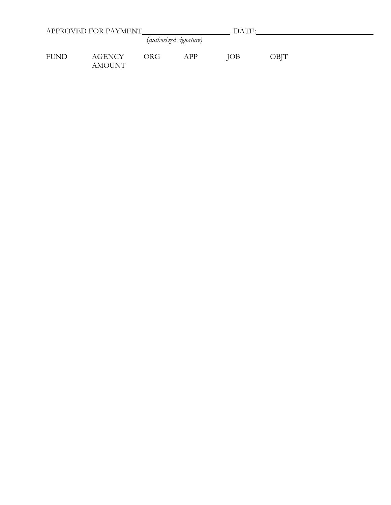|             | APPROVED FOR PAYMENT |     |                        | DATE:      |      |  |  |
|-------------|----------------------|-----|------------------------|------------|------|--|--|
|             |                      |     | (authorized signature) |            |      |  |  |
| <b>FUND</b> | AGENCY<br>AMOUNT     | ORG | APP                    | <b>JOB</b> | OBJT |  |  |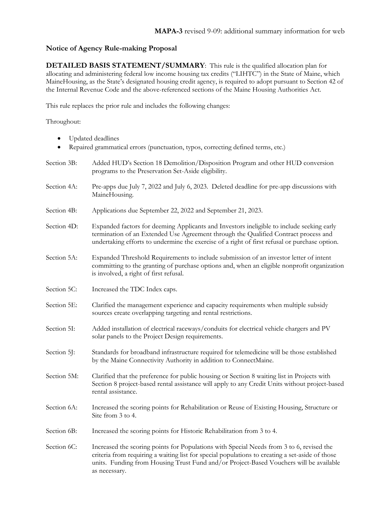## **Notice of Agency Rule-making Proposal**

as necessary.

**DETAILED BASIS STATEMENT/SUMMARY**: This rule is the qualified allocation plan for allocating and administering federal low income housing tax credits ("LIHTC") in the State of Maine, which MaineHousing, as the State's designated housing credit agency, is required to adopt pursuant to [Section 42](https://www.law.cornell.edu/uscode/text/26/42) of the Internal Revenue Code and the above-referenced sections of the Maine Housing Authorities Act.

This rule replaces the prior rule and includes the following changes:

Throughout:

- Updated deadlines
- Repaired grammatical errors (punctuation, typos, correcting defined terms, etc.)

| Section 3B: | Added HUD's Section 18 Demolition/Disposition Program and other HUD conversion<br>programs to the Preservation Set-Aside eligibility.                                                                                                                                             |
|-------------|-----------------------------------------------------------------------------------------------------------------------------------------------------------------------------------------------------------------------------------------------------------------------------------|
| Section 4A: | Pre-apps due July 7, 2022 and July 6, 2023. Deleted deadline for pre-app discussions with<br>MaineHousing.                                                                                                                                                                        |
| Section 4B: | Applications due September 22, 2022 and September 21, 2023.                                                                                                                                                                                                                       |
| Section 4D: | Expanded factors for deeming Applicants and Investors ineligible to include seeking early<br>termination of an Extended Use Agreement through the Qualified Contract process and<br>undertaking efforts to undermine the exercise of a right of first refusal or purchase option. |
| Section 5A: | Expanded Threshold Requirements to include submission of an investor letter of intent<br>committing to the granting of purchase options and, when an eligible nonprofit organization<br>is involved, a right of first refusal.                                                    |
| Section 5C: | Increased the TDC Index caps.                                                                                                                                                                                                                                                     |
| Section 5E: | Clarified the management experience and capacity requirements when multiple subsidy<br>sources create overlapping targeting and rental restrictions.                                                                                                                              |
| Section 5I: | Added installation of electrical raceways/conduits for electrical vehicle chargers and PV<br>solar panels to the Project Design requirements.                                                                                                                                     |
| Section 5J: | Standards for broadband infrastructure required for telemedicine will be those established<br>by the Maine Connectivity Authority in addition to ConnectMaine.                                                                                                                    |
| Section 5M: | Clarified that the preference for public housing or Section 8 waiting list in Projects with<br>Section 8 project-based rental assistance will apply to any Credit Units without project-based<br>rental assistance.                                                               |
| Section 6A: | Increased the scoring points for Rehabilitation or Reuse of Existing Housing, Structure or<br>Site from 3 to 4.                                                                                                                                                                   |
| Section 6B: | Increased the scoring points for Historic Rehabilitation from 3 to 4.                                                                                                                                                                                                             |
| Section 6C: | Increased the scoring points for Populations with Special Needs from 3 to 6, revised the<br>criteria from requiring a waiting list for special populations to creating a set-aside of those                                                                                       |

units. Funding from Housing Trust Fund and/or Project-Based Vouchers will be available